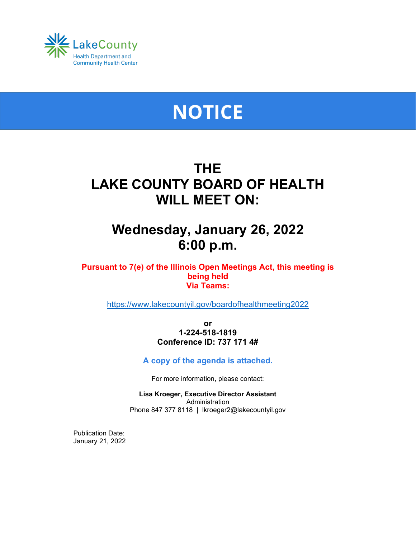

# **NOTICE**

# **THE LAKE COUNTY BOARD OF HEALTH WILL MEET ON:**

# **Wednesday, January 26, 2022 6:00 p.m.**

**Pursuant to 7(e) of the Illinois Open Meetings Act, this meeting is being held Via Teams:**

<https://www.lakecountyil.gov/boardofhealthmeeting2022>

**or 1-224-518-1819 Conference ID: 737 171 4#**

# **A copy of the agenda is attached.**

For more information, please contact:

**Lisa Kroeger, Executive Director Assistant** Administration Phone 847 377 8118 | lkroeger2@lakecountyil.gov

Publication Date: January 21, 2022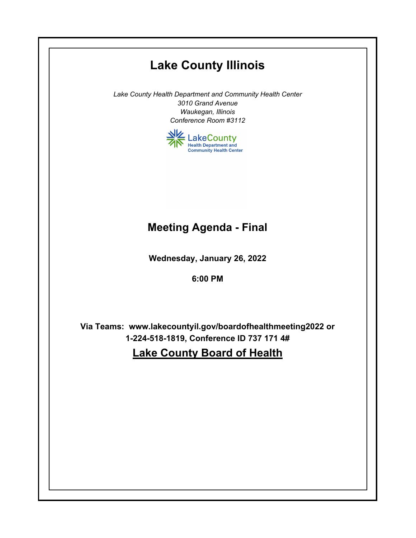# **Lake County Illinois**

*Lake County Health Department and Community Health Center 3010 Grand Avenue Waukegan, Illinois Conference Room #3112*



# **Meeting Agenda - Final**

**Wednesday, January 26, 2022**

**6:00 PM**

**Via Teams: www.lakecountyil.gov/boardofhealthmeeting2022 or 1-224-518-1819, Conference ID 737 171 4#**

**Lake County Board of Health**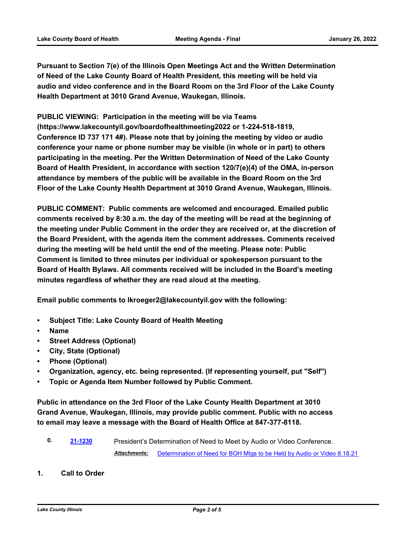**Pursuant to Section 7(e) of the Illinois Open Meetings Act and the Written Determination of Need of the Lake County Board of Health President, this meeting will be held via audio and video conference and in the Board Room on the 3rd Floor of the Lake County Health Department at 3010 Grand Avenue, Waukegan, Illinois.**

**PUBLIC VIEWING: Participation in the meeting will be via Teams (https://www.lakecountyil.gov/boardofhealthmeeting2022 or 1-224-518-1819, Conference ID 737 171 4#). Please note that by joining the meeting by video or audio conference your name or phone number may be visible (in whole or in part) to others participating in the meeting. Per the Written Determination of Need of the Lake County Board of Health President, in accordance with section 120/7(e)(4) of the OMA, in-person attendance by members of the public will be available in the Board Room on the 3rd Floor of the Lake County Health Department at 3010 Grand Avenue, Waukegan, Illinois.**

**PUBLIC COMMENT: Public comments are welcomed and encouraged. Emailed public comments received by 8:30 a.m. the day of the meeting will be read at the beginning of the meeting under Public Comment in the order they are received or, at the discretion of the Board President, with the agenda item the comment addresses. Comments received during the meeting will be held until the end of the meeting. Please note: Public Comment is limited to three minutes per individual or spokesperson pursuant to the Board of Health Bylaws. All comments received will be included in the Board's meeting minutes regardless of whether they are read aloud at the meeting.**

**Email public comments to lkroeger2@lakecountyil.gov with the following:**

- **• Subject Title: Lake County Board of Health Meeting**
- **• Name**
- **• Street Address (Optional)**
- **• City, State (Optional)**
- **• Phone (Optional)**
- **• Organization, agency, etc. being represented. (If representing yourself, put "Self")**
- **• Topic or Agenda Item Number followed by Public Comment.**

**Public in attendance on the 3rd Floor of the Lake County Health Department at 3010 Grand Avenue, Waukegan, Illinois, may provide public comment. Public with no access to email may leave a message with the Board of Health Office at 847-377-8118.**

- **0. [21-1230](http://lakecounty.legistar.com/gateway.aspx?m=l&id=/matter.aspx?key=22000)** President's Determination of Need to Meet by Audio or Video Conference. *Attachments:* [Determination of Need for BOH Mtgs to be Held by Audio or Video 8.18.21](http://lakecounty.legistar.com/gateway.aspx?M=F&ID=285ff53f-1509-4496-b4db-fe34550a83ab.pdf)
- **1. Call to Order**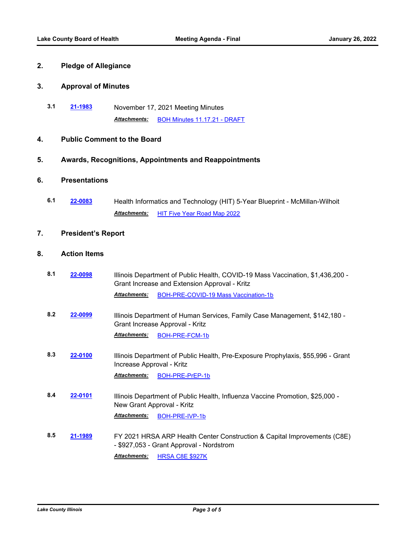# **2. Pledge of Allegiance**

#### **3. Approval of Minutes**

**3.1 [21-1983](http://lakecounty.legistar.com/gateway.aspx?m=l&id=/matter.aspx?key=25758)** November 17, 2021 Meeting Minutes *Attachments:* [BOH Minutes 11.17.21 - DRAFT](http://lakecounty.legistar.com/gateway.aspx?M=F&ID=d902a0c1-8b0e-497c-92bd-2272f7c2d90e.pdf)

### **4. Public Comment to the Board**

#### **5. Awards, Recognitions, Appointments and Reappointments**

# **6. Presentations**

**6.1 [22-0083](http://lakecounty.legistar.com/gateway.aspx?m=l&id=/matter.aspx?key=25864)** Health Informatics and Technology (HIT) 5-Year Blueprint - McMillan-Wilhoit *Attachments:* [HIT Five Year Road Map 2022](http://lakecounty.legistar.com/gateway.aspx?M=F&ID=3ee1a93f-02a8-4fcc-986f-d75843c6c94a.pdf)

#### **7. President's Report**

## **8. Action Items**

- **8.1 [22-0098](http://lakecounty.legistar.com/gateway.aspx?m=l&id=/matter.aspx?key=25879)** Illinois Department of Public Health, COVID-19 Mass Vaccination, \$1,436,200 Grant Increase and Extension Approval - Kritz Attachments: [BOH-PRE-COVID-19 Mass Vaccination-1b](http://lakecounty.legistar.com/gateway.aspx?M=F&ID=7222f18c-f33a-4260-8863-6b722d7fa62f.pdf)
- **8.2 [22-0099](http://lakecounty.legistar.com/gateway.aspx?m=l&id=/matter.aspx?key=25880)** Illinois Department of Human Services, Family Case Management, \$142,180 Grant Increase Approval - Kritz *Attachments:* [BOH-PRE-FCM-1b](http://lakecounty.legistar.com/gateway.aspx?M=F&ID=3b4fa6f0-5add-492d-a508-fd8183798349.pdf)
- **8.3 [22-0100](http://lakecounty.legistar.com/gateway.aspx?m=l&id=/matter.aspx?key=25881)** Illinois Department of Public Health, Pre-Exposure Prophylaxis, \$55,996 Grant Increase Approval - Kritz *Attachments:* [BOH-PRE-PrEP-1b](http://lakecounty.legistar.com/gateway.aspx?M=F&ID=116a9127-5ed0-4398-9501-c22f7739a1cd.pdf)
- **8.4 [22-0101](http://lakecounty.legistar.com/gateway.aspx?m=l&id=/matter.aspx?key=25882)** Illinois Department of Public Health, Influenza Vaccine Promotion, \$25,000 New Grant Approval - Kritz *Attachments:* [BOH-PRE-IVP-1b](http://lakecounty.legistar.com/gateway.aspx?M=F&ID=b5944cd5-bc7d-4a6a-8c68-c3d5ee99c1dd.pdf)

**8.5 [21-1989](http://lakecounty.legistar.com/gateway.aspx?m=l&id=/matter.aspx?key=25764)** FY 2021 HRSA ARP Health Center Construction & Capital Improvements (C8E) - \$927,053 - Grant Approval - Nordstrom *Attachments:* [HRSA C8E \\$927K](http://lakecounty.legistar.com/gateway.aspx?M=F&ID=5d05cc6e-96d4-4372-9d02-c1a202b3d9e4.pdf)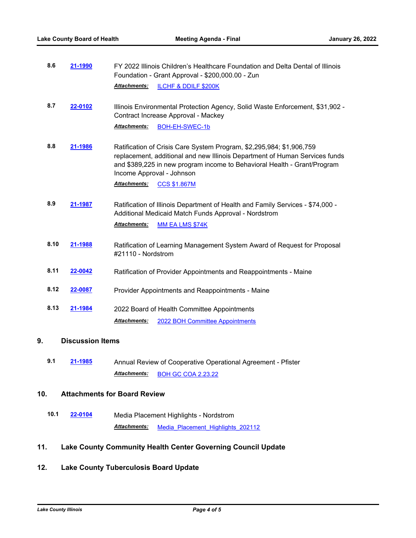| 8.6 | 21-1990 | FY 2022 Illinois Children's Healthcare Foundation and Delta Dental of Illinois<br>Foundation - Grant Approval - \$200,000.00 - Zun |                                   |
|-----|---------|------------------------------------------------------------------------------------------------------------------------------------|-----------------------------------|
|     |         |                                                                                                                                    | Attachments: ILCHF & DDILF \$200K |

**8.7 [22-0102](http://lakecounty.legistar.com/gateway.aspx?m=l&id=/matter.aspx?key=25883)** Illinois Environmental Protection Agency, Solid Waste Enforcement, \$31,902 - Contract Increase Approval - Mackey *Attachments:* [BOH-EH-SWEC-1b](http://lakecounty.legistar.com/gateway.aspx?M=F&ID=20aa8bc6-0ee5-4780-be9b-eb28339551bd.pdf)

**8.8 [21-1986](http://lakecounty.legistar.com/gateway.aspx?m=l&id=/matter.aspx?key=25761)** Ratification of Crisis Care System Program, \$2,295,984; \$1,906,759

replacement, additional and new Illinois Department of Human Services funds and \$389,225 in new program income to Behavioral Health - Grant/Program Income Approval - Johnson

*Attachments:* [CCS \\$1.867M](http://lakecounty.legistar.com/gateway.aspx?M=F&ID=4bd86873-e117-4514-aa1c-21de9c35d450.pdf)

- **8.9 [21-1987](http://lakecounty.legistar.com/gateway.aspx?m=l&id=/matter.aspx?key=25762)** Ratification of Illinois Department of Health and Family Services \$74,000 Additional Medicaid Match Funds Approval - Nordstrom *Attachments:* [MM EA LMS \\$74K](http://lakecounty.legistar.com/gateway.aspx?M=F&ID=f18c3191-b97c-49fb-9dd7-9d7bcba9c98d.pdf)
- **8.10 [21-1988](http://lakecounty.legistar.com/gateway.aspx?m=l&id=/matter.aspx?key=25763)** Ratification of Learning Management System Award of Request for Proposal #21110 - Nordstrom
- **8.11 [22-0042](http://lakecounty.legistar.com/gateway.aspx?m=l&id=/matter.aspx?key=25824)** Ratification of Provider Appointments and Reappointments Maine
- **8.12 [22-0087](http://lakecounty.legistar.com/gateway.aspx?m=l&id=/matter.aspx?key=25868)** Provider Appointments and Reappointments Maine
- **8.13 [21-1984](http://lakecounty.legistar.com/gateway.aspx?m=l&id=/matter.aspx?key=25759)** 2022 Board of Health Committee Appointments *Attachments:* [2022 BOH Committee Appointments](http://lakecounty.legistar.com/gateway.aspx?M=F&ID=f7c2b31a-13a4-4f69-9cbf-9fb366f476ba.pdf)

### **9. Discussion Items**

**9.1 [21-1985](http://lakecounty.legistar.com/gateway.aspx?m=l&id=/matter.aspx?key=25760)** Annual Review of Cooperative Operational Agreement - Pfister *Attachments:* [BOH GC COA 2.23.22](http://lakecounty.legistar.com/gateway.aspx?M=F&ID=f36ae416-1b0d-48da-97df-0f74d35dfd3f.pdf)

# **10. Attachments for Board Review**

**10.1 [22-0104](http://lakecounty.legistar.com/gateway.aspx?m=l&id=/matter.aspx?key=25885)** Media Placement Highlights - Nordstrom *Attachments:* [Media\\_Placement\\_Highlights\\_202112](http://lakecounty.legistar.com/gateway.aspx?M=F&ID=ac1eada6-ff95-44f6-9c47-5f63140ed49d.pdf)

# **11. Lake County Community Health Center Governing Council Update**

# **12. Lake County Tuberculosis Board Update**